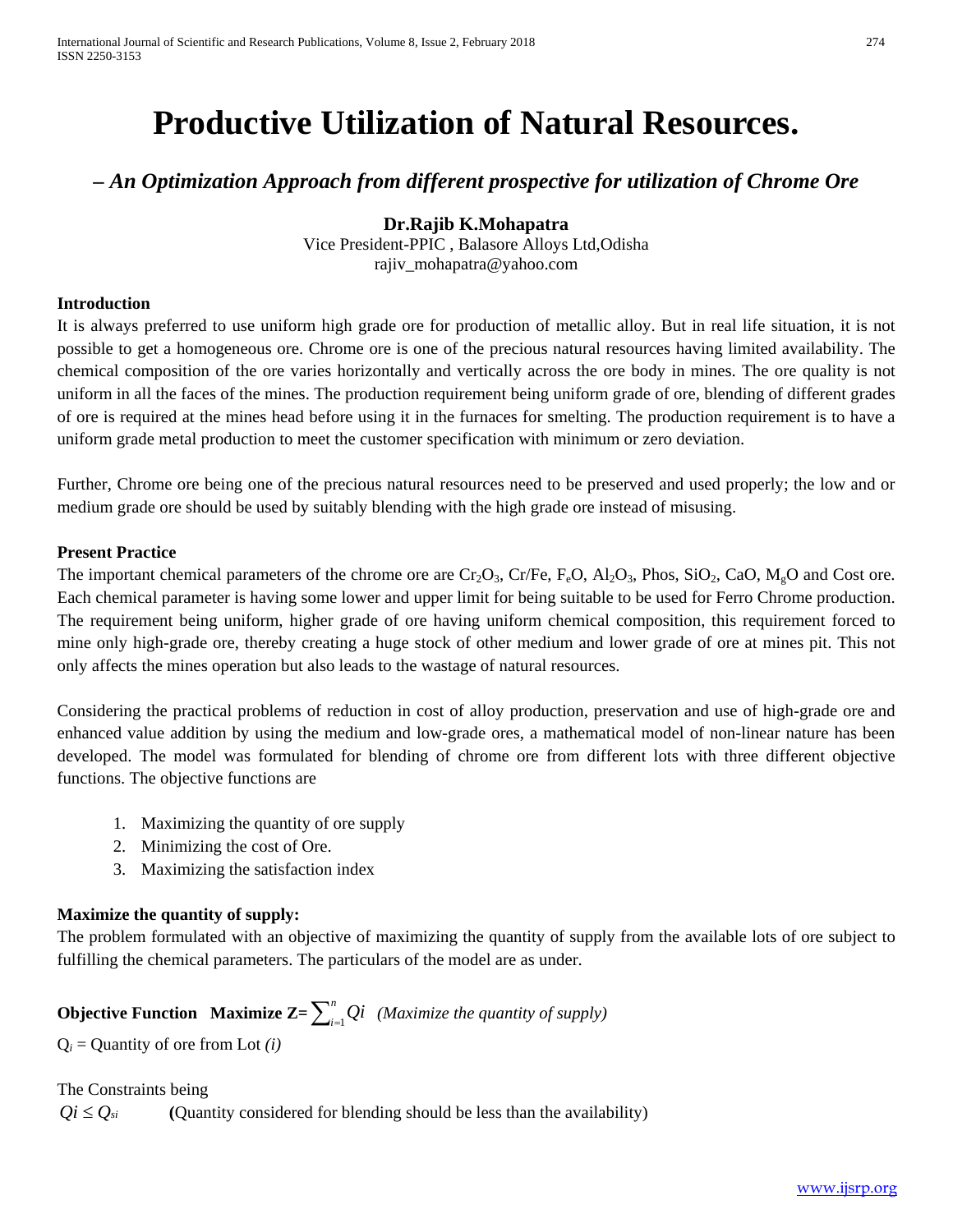# **Productive Utilization of Natural Resources.**

*– An Optimization Approach from different prospective for utilization of Chrome Ore*

## **Dr.Rajib K.Mohapatra**

Vice President-PPIC , Balasore Alloys Ltd,Odisha rajiv\_mohapatra@yahoo.com

#### **Introduction**

It is always preferred to use uniform high grade ore for production of metallic alloy. But in real life situation, it is not possible to get a homogeneous ore. Chrome ore is one of the precious natural resources having limited availability. The chemical composition of the ore varies horizontally and vertically across the ore body in mines. The ore quality is not uniform in all the faces of the mines. The production requirement being uniform grade of ore, blending of different grades of ore is required at the mines head before using it in the furnaces for smelting. The production requirement is to have a uniform grade metal production to meet the customer specification with minimum or zero deviation.

Further, Chrome ore being one of the precious natural resources need to be preserved and used properly; the low and or medium grade ore should be used by suitably blending with the high grade ore instead of misusing.

#### **Present Practice**

The important chemical parameters of the chrome ore are  $Cr_2O_3$ ,  $Cr/Fe$ ,  $F_eO$ ,  $Al_2O_3$ ,  $Phos$ ,  $SiO_2$ ,  $CaO$ ,  $M_eO$  and Cost ore. Each chemical parameter is having some lower and upper limit for being suitable to be used for Ferro Chrome production. The requirement being uniform, higher grade of ore having uniform chemical composition, this requirement forced to mine only high-grade ore, thereby creating a huge stock of other medium and lower grade of ore at mines pit. This not only affects the mines operation but also leads to the wastage of natural resources.

Considering the practical problems of reduction in cost of alloy production, preservation and use of high-grade ore and enhanced value addition by using the medium and low-grade ores, a mathematical model of non-linear nature has been developed. The model was formulated for blending of chrome ore from different lots with three different objective functions. The objective functions are

- 1. Maximizing the quantity of ore supply
- 2. Minimizing the cost of Ore.
- 3. Maximizing the satisfaction index

#### **Maximize the quantity of supply:**

The problem formulated with an objective of maximizing the quantity of supply from the available lots of ore subject to fulfilling the chemical parameters. The particulars of the model are as under.

# **Objective Function** Maximize  $\mathbf{Z} = \sum_{i=1}^{n} Qi$  (Maximize the quantity of supply)

 $Q_i$  = Quantity of ore from Lot *(i)* 

The Constraints being

 $Q_i \leq Q_{si}$  (Quantity considered for blending should be less than the availability)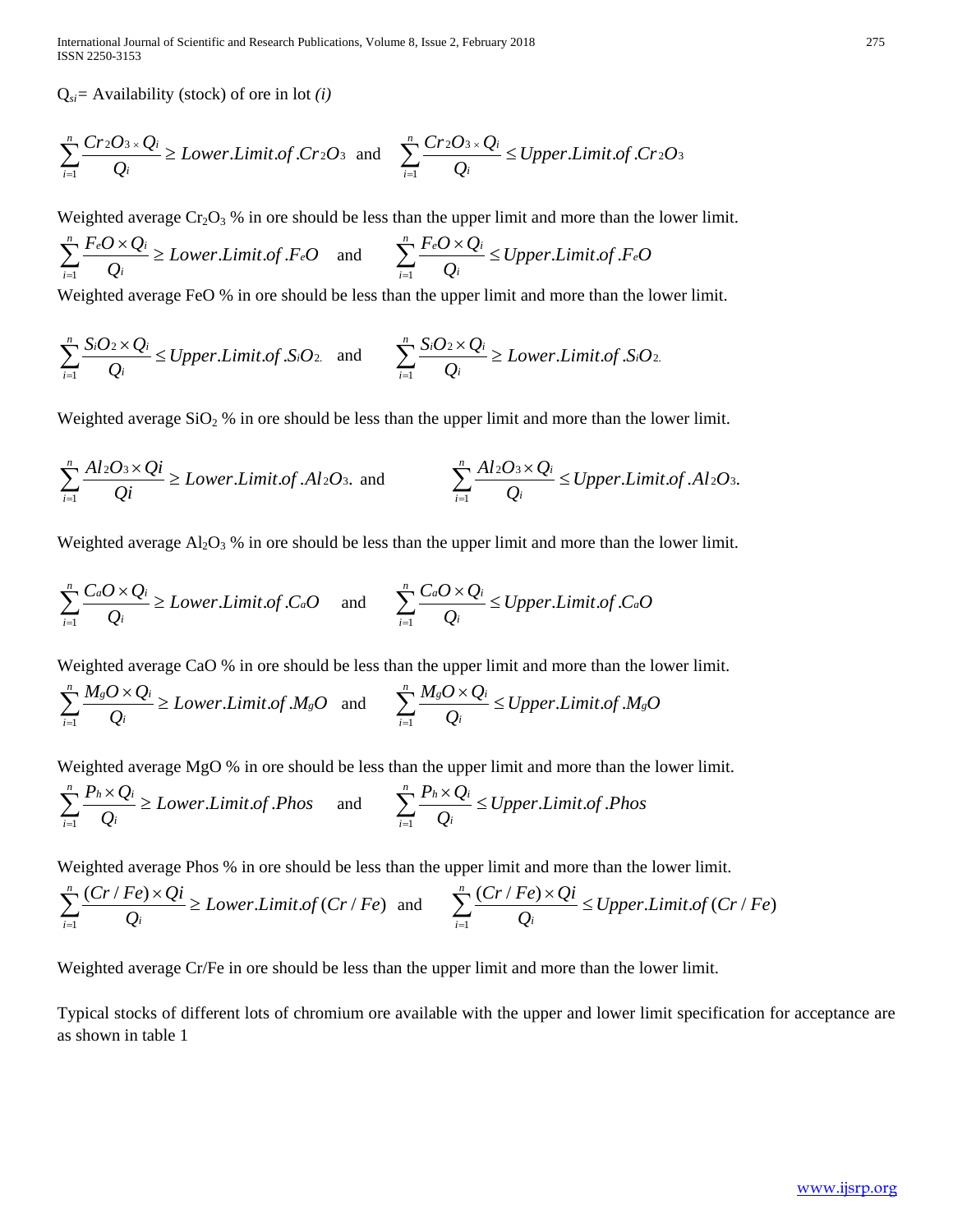International Journal of Scientific and Research Publications, Volume 8, Issue 2, February 2018 275 ISSN 2250-3153

Q*si=* Availability (stock) of ore in lot *(i)*

$$
\sum_{i=1}^{n} \frac{Cr_2O_{3 \times} Q_i}{Q_i} \geq Lower.Limit. of. Cr_2O_3 \text{ and } \sum_{i=1}^{n} \frac{Cr_2O_{3 \times} Q_i}{Q_i} \leq Upper.Limit. of. Cr_2O_3
$$

Weighted average  $Cr_2O_3$ % in ore should be less than the upper limit and more than the lower limit.

$$
\sum_{i=1}^{n} \frac{F_e O \times Q_i}{Q_i} \geq Lower.Limit. of.F_e O \quad \text{and} \quad \sum_{i=1}^{n} \frac{F_e O \times Q_i}{Q_i} \leq Upper.Limit. of.F_e O
$$

Weighted average FeO % in ore should be less than the upper limit and more than the lower limit.

$$
\sum_{i=1}^{n} \frac{S_iO_2 \times Q_i}{Q_i} \leq Upper.Limit. of .S_iO_2 \quad \text{and} \quad \sum_{i=1}^{n} \frac{S_iO_2 \times Q_i}{Q_i} \geq Lower.Limit. of .S_iO_2.
$$

Weighted average  $SiO<sub>2</sub>$ % in ore should be less than the upper limit and more than the lower limit.

$$
\sum_{i=1}^{n} \frac{Al_2O_3 \times Qi}{Qi} \ge Lower.Limit. of .Al_2O_3. \text{ and } \sum_{i=1}^{n} \frac{Al_2O_3 \times Qi}{Qi} \le Upper.Limit. of .Al_2O_3.
$$

Weighted average  $Al_2O_3$ % in ore should be less than the upper limit and more than the lower limit.

$$
\sum_{i=1}^{n} \frac{C_a O \times Q_i}{Q_i} \geq Lower.Limit. of . C_a O \quad \text{and} \quad \sum_{i=1}^{n} \frac{C_a O \times Q_i}{Q_i} \leq Upper.Limit. of . C_a O
$$

Weighted average CaO % in ore should be less than the upper limit and more than the lower limit.

$$
\sum_{i=1}^{n} \frac{M_s O \times Q_i}{Q_i} \geq Lower.Limit. of M_s O \quad \text{and} \quad \sum_{i=1}^{n} \frac{M_s O \times Q_i}{Q_i} \leq Upper.Limit. of M_s O
$$

Weighted average MgO % in ore should be less than the upper limit and more than the lower limit.

$$
\sum_{i=1}^{n} \frac{P_h \times Q_i}{Q_i} \geq Lower.Limit. of. Phos \quad \text{and} \quad \sum_{i=1}^{n} \frac{P_h \times Q_i}{Q_i} \leq Upper.Limit. of. Phos
$$

Weighted average Phos % in ore should be less than the upper limit and more than the lower limit.

$$
\sum_{i=1}^{n} \frac{(Cr/Fe) \times Qi}{Q_i} \geq Lower.Limit. of (Cr/Fe) \text{ and } \sum_{i=1}^{n} \frac{(Cr/Fe) \times Qi}{Q_i} \leq Upper.Limit. of (Cr/Fe)
$$

Weighted average Cr/Fe in ore should be less than the upper limit and more than the lower limit.

Typical stocks of different lots of chromium ore available with the upper and lower limit specification for acceptance are as shown in table 1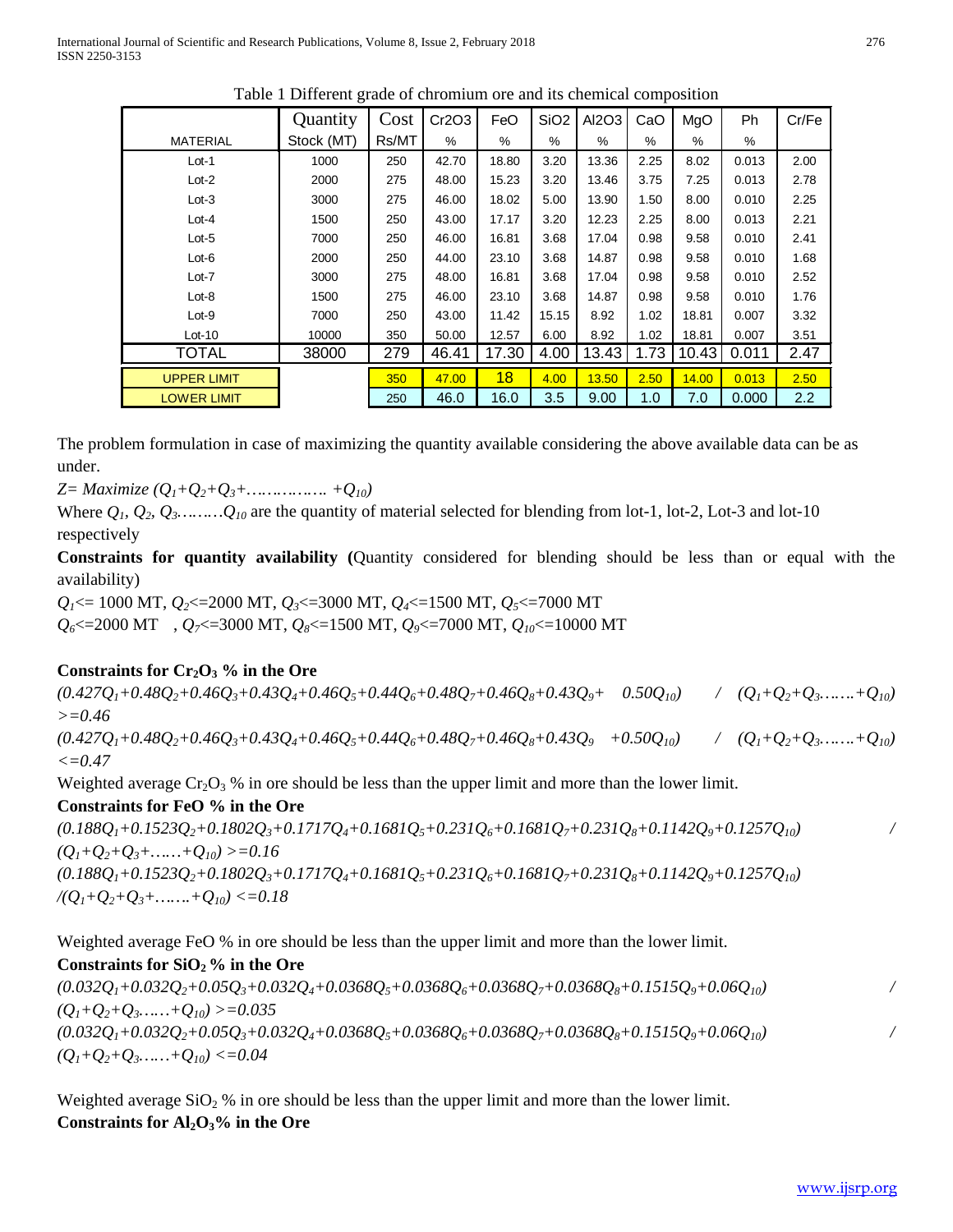|                    | Quantity   | Cost  | Cr2O3 | FeO   | SiO <sub>2</sub> | AI2O3 | CaO  | MgO   | Ph    | Cr/Fe |
|--------------------|------------|-------|-------|-------|------------------|-------|------|-------|-------|-------|
| <b>MATERIAL</b>    | Stock (MT) | Rs/MT | %     | %     | $\%$             | %     | %    | %     | $\%$  |       |
| $Lot-1$            | 1000       | 250   | 42.70 | 18.80 | 3.20             | 13.36 | 2.25 | 8.02  | 0.013 | 2.00  |
| $Lot-2$            | 2000       | 275   | 48.00 | 15.23 | 3.20             | 13.46 | 3.75 | 7.25  | 0.013 | 2.78  |
| $Lot-3$            | 3000       | 275   | 46.00 | 18.02 | 5.00             | 13.90 | 1.50 | 8.00  | 0.010 | 2.25  |
| $Lot-4$            | 1500       | 250   | 43.00 | 17.17 | 3.20             | 12.23 | 2.25 | 8.00  | 0.013 | 2.21  |
| $Lot-5$            | 7000       | 250   | 46.00 | 16.81 | 3.68             | 17.04 | 0.98 | 9.58  | 0.010 | 2.41  |
| $Lot-6$            | 2000       | 250   | 44.00 | 23.10 | 3.68             | 14.87 | 0.98 | 9.58  | 0.010 | 1.68  |
| $Lot-7$            | 3000       | 275   | 48.00 | 16.81 | 3.68             | 17.04 | 0.98 | 9.58  | 0.010 | 2.52  |
| $Lot-8$            | 1500       | 275   | 46.00 | 23.10 | 3.68             | 14.87 | 0.98 | 9.58  | 0.010 | 1.76  |
| $Lot-9$            | 7000       | 250   | 43.00 | 11.42 | 15.15            | 8.92  | 1.02 | 18.81 | 0.007 | 3.32  |
| $Lot-10$           | 10000      | 350   | 50.00 | 12.57 | 6.00             | 8.92  | 1.02 | 18.81 | 0.007 | 3.51  |
| <b>TOTAL</b>       | 38000      | 279   | 46.41 | 17.30 | 4.00             | 13.43 | 1.73 | 10.43 | 0.011 | 2.47  |
| <b>UPPER LIMIT</b> |            | 350   | 47.00 | 18    | 4.00             | 13.50 | 2.50 | 14.00 | 0.013 | 2.50  |
| <b>LOWER LIMIT</b> |            | 250   | 46.0  | 16.0  | 3.5              | 9.00  | 1.0  | 7.0   | 0.000 | 2.2   |

Table 1 Different grade of chromium ore and its chemical composition

The problem formulation in case of maximizing the quantity available considering the above available data can be as under.

*Z= Maximize (Q1+Q2+Q3+……………. +Q10)*

Where  $Q_1, Q_2, Q_3, \ldots, Q_{10}$  are the quantity of material selected for blending from lot-1, lot-2, Lot-3 and lot-10 respectively

**Constraints for quantity availability (**Quantity considered for blending should be less than or equal with the availability)

*Q<sub>1</sub>*<= 1000 MT, *Q<sub>2</sub>*<=2000 MT, *Q<sub>3</sub>*<=3000 MT, *Q<sub>4</sub>*<=1500 MT, *Q<sub>5</sub>*<=7000 MT

 $Q_6 \le 2000 \text{ MT}$ ,  $Q_7 \le 3000 \text{ MT}$ ,  $Q_8 \le 1500 \text{ MT}$ ,  $Q_9 \le 7000 \text{ MT}$ ,  $Q_{10} \le 10000 \text{ MT}$ 

#### Constraints for Cr<sub>2</sub>O<sub>3</sub> % in the Ore

 $(0.427Q_1+0.48Q_2+0.46Q_3+0.43Q_4+0.46Q_5+0.44Q_6+0.48Q_7+0.46Q_8+0.43Q_9+\quad 0.50Q_{10})$  /  $(Q_1+Q_2+Q_3+...+Q_{10})$ *>=0.46*  $(0.427Q_1+0.48Q_2+0.46Q_3+0.43Q_4+0.46Q_5+0.44Q_6+0.48Q_7+0.46Q_8+0.43Q_9$   $+0.50Q_{10}$  /  $(Q_1+Q_2+Q_3+...+Q_{10})$ *<=0.47*

Weighted average  $Cr_2O_3$ % in ore should be less than the upper limit and more than the lower limit.

#### **Constraints for FeO % in the Ore**

 $(0.188Q_1+0.1523Q_2+0.1802Q_3+0.1717Q_4+0.1681Q_5+0.231Q_6+0.1681Q_7+0.231Q_8+0.1142Q_9+0.1257Q_{10})$  $(Q_1+Q_2+Q_3+\ldots+(Q_{10})>=0.16$  $(0.188Q_1+0.1523Q_2+0.1802Q_3+0.1717Q_4+0.1681Q_5+0.231Q_6+0.1681Q_7+0.231Q_8+0.1142Q_9+0.1257Q_{10})$  $/(Q_1+Q_2+Q_3+\ldots+(Q_{10})\leq 0.18$ 

Weighted average FeO % in ore should be less than the upper limit and more than the lower limit.

#### Constraints for  $SiO<sub>2</sub>$ <sup>o</sup> in the Ore

 $(0.032Q_1+0.032Q_2+0.05Q_3+0.032Q_4+0.0368Q_5+0.0368Q_6+0.0368Q_7+0.0368Q_8+0.1515Q_9+0.06Q_{10})$  $(Q_1+Q_2+Q_3...+Q_{10})>=0.035$  $(0.032Q_1+0.032Q_2+0.05Q_3+0.032Q_4+0.0368Q_5+0.0368Q_6+0.0368Q_7+0.0368Q_8+0.1515Q_9+0.06Q_{10})$  $(Q_1+Q_2+Q_3$ ……+ $Q_{10}$ ) <=0.04

Weighted average  $SiO<sub>2</sub>$ % in ore should be less than the upper limit and more than the lower limit. Constraints for Al<sub>2</sub>O<sub>3</sub>% in the Ore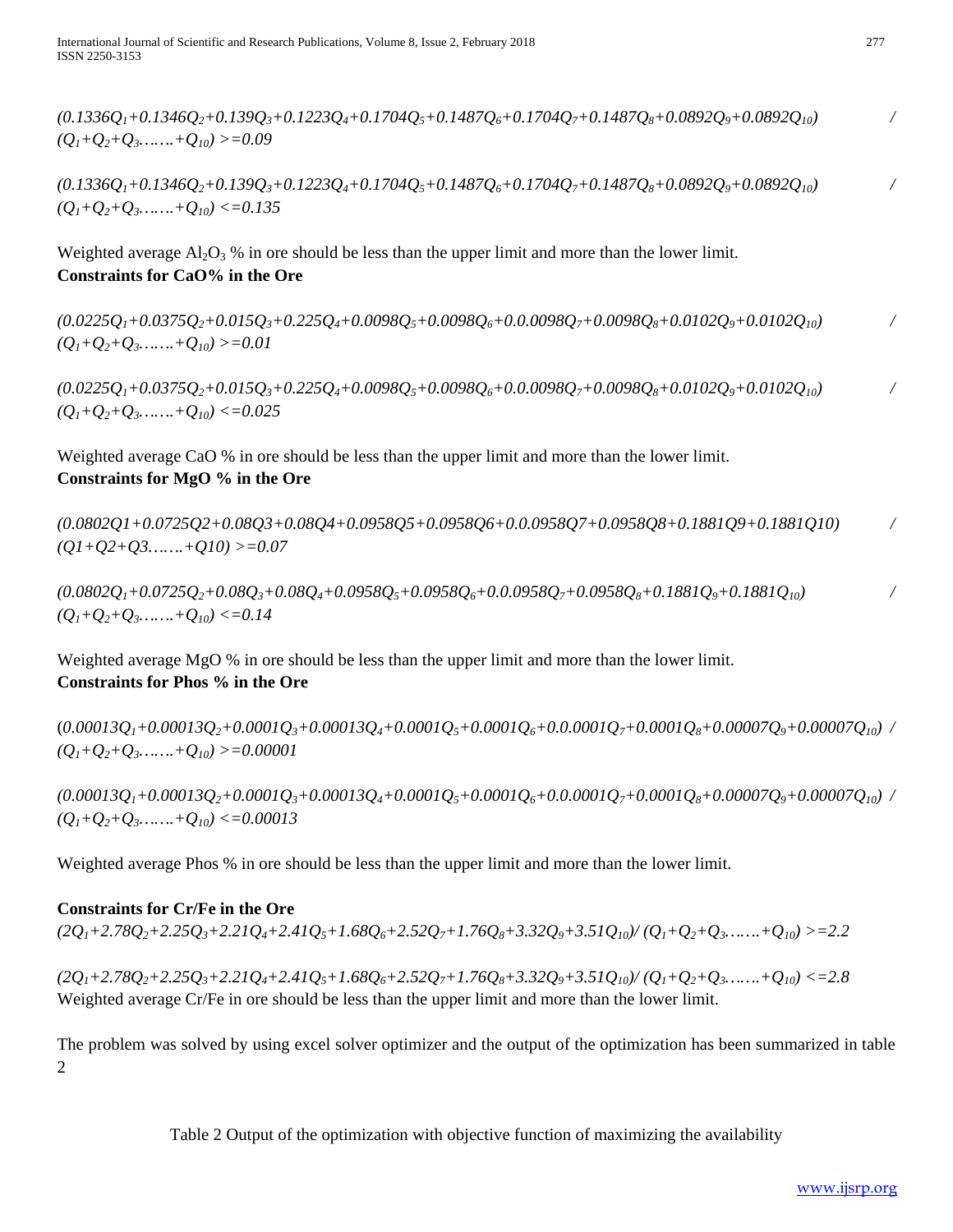$(0.1336Q_1+0.1346Q_2+0.139Q_3+0.1223Q_4+0.1704Q_5+0.1487Q_6+0.1704Q_7+0.1487Q_8+0.0892Q_9+0.0892Q_{10})$  $(O_1+O_2+O_3$ …….+ $O_{10}$ ) >=0.09

 $(0.1336Q_1+0.1346Q_2+0.139Q_3+0.1223Q_4+0.1704Q_5+0.1487Q_6+0.1704Q_7+0.1487Q_8+0.0892Q_9+0.0892Q_{10})$  $(Q_1+Q_2+Q_3+Q_{10}) \leq 0.135$ 

Weighted average  $A_1 \cdot A_3$ % in ore should be less than the upper limit and more than the lower limit. **Constraints for CaO% in the Ore**

 $(0.0225Q_1+0.0375Q_2+0.015Q_3+0.225Q_4+0.0098Q_5+0.0098Q_6+0.0.0098Q_7+0.0098Q_8+0.0102Q_9+0.0102Q_{10})$  $(Q_1+Q_2+Q_3$ ……..+ $Q_{10}$ ) >=0.01

 $(0.0225Q_1+0.0375Q_2+0.015Q_3+0.225Q_4+0.0098Q_5+0.0098Q_6+0.0.0098Q_7+0.0098Q_8+0.0102Q_9+0.0102Q_{10})$  $(Q_1+Q_2+Q_3+Q_{10}) \leq 0.025$ 

Weighted average CaO % in ore should be less than the upper limit and more than the lower limit. **Constraints for MgO % in the Ore**

*(0.0802Q1+0.0725Q2+0.08Q3+0.08Q4+0.0958Q5+0.0958Q6+0.0.0958Q7+0.0958Q8+0.1881Q9+0.1881Q10) / (Q1+Q2+Q3…….+Q10) >=0.07*

 $(0.0802Q_1+0.0725Q_2+0.08Q_3+0.08Q_4+0.0958Q_5+0.0958Q_6+0.0958Q_7+0.0958Q_8+0.1881Q_9+0.1881Q_{10})$  $(Q_1+Q_2+Q_3$ …….+ $Q_{10}$ ) <= 0.14

Weighted average MgO % in ore should be less than the upper limit and more than the lower limit. **Constraints for Phos % in the Ore**

 $(0.00013Q_1+0.00013Q_2+0.0001Q_3+0.00013Q_4+0.0001Q_5+0.0001Q_6+0.0.0001Q_7+0.0001Q_8+0.00007Q_9+0.00007Q_{10})$  $(Q_1+Q_2+Q_3+Q_{10})>=0.00001$ 

 $(0.00013Q_1+0.00013Q_2+0.0001Q_3+0.00013Q_4+0.0001Q_5+0.0001Q_6+0.0.0001Q_7+0.0001Q_8+0.00007Q_9+0.00007Q_{10})$  $(Q_1+Q_2+Q_3+Q_{10}) \leq 0.00013$ 

Weighted average Phos % in ore should be less than the upper limit and more than the lower limit.

#### **Constraints for Cr/Fe in the Ore**

 $(2Q_1+2.78Q_2+2.25Q_3+2.21Q_4+2.41Q_5+1.68Q_6+2.52Q_7+1.76Q_8+3.32Q_9+3.51Q_{10})/(Q_1+Q_2+Q_3+...+Q_{10}) = 2.2$ 

 $(2Q_1+2.78Q_2+2.25Q_3+2.21Q_4+2.41Q_5+1.68Q_6+2.52Q_7+1.76Q_8+3.32Q_9+3.51Q_{10})/(Q_1+Q_2+Q_3+...+Q_{10}) \leq 2.8$ Weighted average Cr/Fe in ore should be less than the upper limit and more than the lower limit.

The problem was solved by using excel solver optimizer and the output of the optimization has been summarized in table 2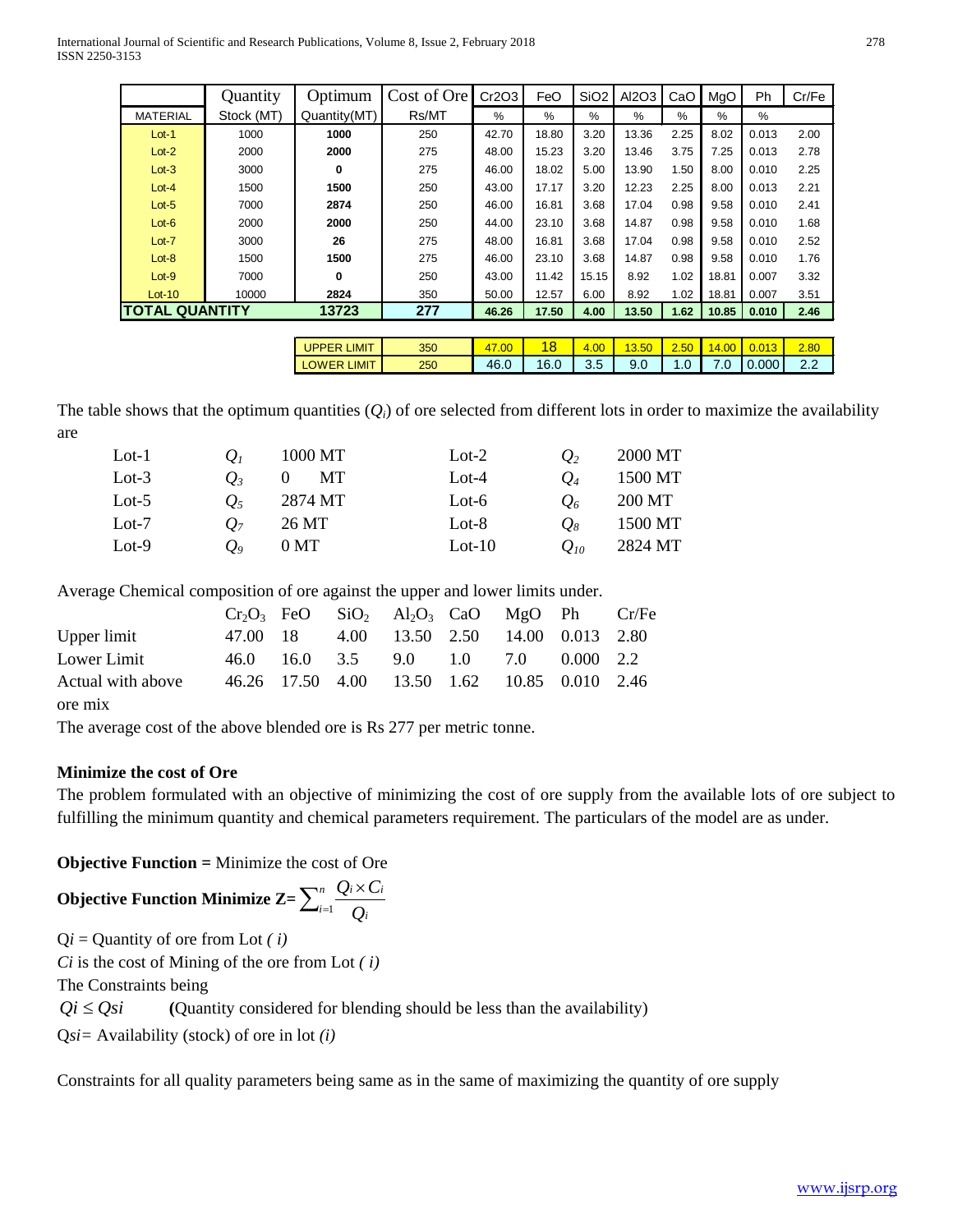International Journal of Scientific and Research Publications, Volume 8, Issue 2, February 2018 278 ISSN 2250-3153

|                       | Quantity   | Optimum      | Cost of Ore | Cr2O3 | FeO   | SiO <sub>2</sub> | AI2O3 | CaO  | MgO   | Ph    | Cr/Fe |
|-----------------------|------------|--------------|-------------|-------|-------|------------------|-------|------|-------|-------|-------|
| <b>MATERIAL</b>       | Stock (MT) | Quantity(MT) | Rs/MT       | %     | %     | %                | %     | %    | %     | %     |       |
| $Lot-1$               | 1000       | 1000         | 250         | 42.70 | 18.80 | 3.20             | 13.36 | 2.25 | 8.02  | 0.013 | 2.00  |
| $Lot-2$               | 2000       | 2000         | 275         | 48.00 | 15.23 | 3.20             | 13.46 | 3.75 | 7.25  | 0.013 | 2.78  |
| $Lot-3$               | 3000       | 0            | 275         | 46.00 | 18.02 | 5.00             | 13.90 | 1.50 | 8.00  | 0.010 | 2.25  |
| $Lot-4$               | 1500       | 1500         | 250         | 43.00 | 17.17 | 3.20             | 12.23 | 2.25 | 8.00  | 0.013 | 2.21  |
| $Lot-5$               | 7000       | 2874         | 250         | 46.00 | 16.81 | 3.68             | 17.04 | 0.98 | 9.58  | 0.010 | 2.41  |
| $Lot-6$               | 2000       | 2000         | 250         | 44.00 | 23.10 | 3.68             | 14.87 | 0.98 | 9.58  | 0.010 | 1.68  |
| $Lot-7$               | 3000       | 26           | 275         | 48.00 | 16.81 | 3.68             | 17.04 | 0.98 | 9.58  | 0.010 | 2.52  |
| $Lot-8$               | 1500       | 1500         | 275         | 46.00 | 23.10 | 3.68             | 14.87 | 0.98 | 9.58  | 0.010 | 1.76  |
| $Lot-9$               | 7000       | 0            | 250         | 43.00 | 11.42 | 15.15            | 8.92  | 1.02 | 18.81 | 0.007 | 3.32  |
| $Lot-10$              | 10000      | 2824         | 350         | 50.00 | 12.57 | 6.00             | 8.92  | 1.02 | 18.81 | 0.007 | 3.51  |
| <b>TOTAL QUANTITY</b> |            | 13723        | 277         | 46.26 | 17.50 | 4.00             | 13.50 | 1.62 | 10.85 | 0.010 | 2.46  |
|                       |            |              |             |       |       |                  |       |      |       |       |       |

| $\sim$ $\sim$ | LIMIT<br><b>JPPER</b> | 350 | 00<br>47 | 18   | .00 <sub>1</sub><br>4 | 3.50 | <b>Section</b><br>2.50 | $+00^{\circ}$ | 013<br>0.0 | 2.80                   |
|---------------|-----------------------|-----|----------|------|-----------------------|------|------------------------|---------------|------------|------------------------|
| . .<br>. .    | LIMIT<br><b>JWFR</b>  | 250 | 46.0     | 16.0 | v.v                   | 9.0  |                        |               | 0.000      | $\sim$ $\sim$<br>ے . د |

The table shows that the optimum quantities  $(Q_i)$  of ore selected from different lots in order to maximize the availability are

| $Lot-1$  | $\bm{U}_I$        | 1000 MT         | $Lot-2$  | $Q_2$    | 2000 MT |
|----------|-------------------|-----------------|----------|----------|---------|
| $Lot-3$  | O <sub>2</sub>    | MТ              | $Lot-4$  | $O_4$    | 1500 MT |
| Lot- $5$ | $\mathcal{O}_{5}$ | 2874 MT         | Lot- $6$ | $Q_6$    | 200 MT  |
| $Lot-7$  | O <sub>7</sub>    | 26 MT           | Lot-8    | $O_8$    | 1500 MT |
| $Lot-9$  | O0                | 0 <sub>MT</sub> | $Lot-10$ | $O_{10}$ | 2824 MT |

Average Chemical composition of ore against the upper and lower limits under.

|                   |          | $Cr_2O_3$ FeO SiO <sub>2</sub> Al <sub>2</sub> O <sub>3</sub> CaO MgO Ph Cr/Fe |  |  |  |
|-------------------|----------|--------------------------------------------------------------------------------|--|--|--|
| Upper limit       | 47.00 18 | 4.00 13.50 2.50 14.00 0.013 2.80                                               |  |  |  |
| Lower Limit       |          | 46.0 16.0 3.5 9.0 1.0 7.0 0.000 2.2                                            |  |  |  |
| Actual with above |          | 46.26 17.50 4.00 13.50 1.62 10.85 0.010 2.46                                   |  |  |  |
| $0.440$ $0.025$   |          |                                                                                |  |  |  |

ore mix

The average cost of the above blended ore is Rs 277 per metric tonne.

#### **Minimize the cost of Ore**

The problem formulated with an objective of minimizing the cost of ore supply from the available lots of ore subject to fulfilling the minimum quantity and chemical parameters requirement. The particulars of the model are as under.

**Objective Function =** Minimize the cost of Ore

$$
\textbf{Objective Function Minimize } Z = \sum_{i=1}^{n} \frac{Q_i \times C_i}{Q_i}
$$

Q*i* = Quantity of ore from Lot *( i) Ci* is the cost of Mining of the ore from Lot *( i)*  The Constraints being  $Qi \leq Qsi$  (Quantity considered for blending should be less than the availability) Q*si=* Availability (stock) of ore in lot *(i)*

Constraints for all quality parameters being same as in the same of maximizing the quantity of ore supply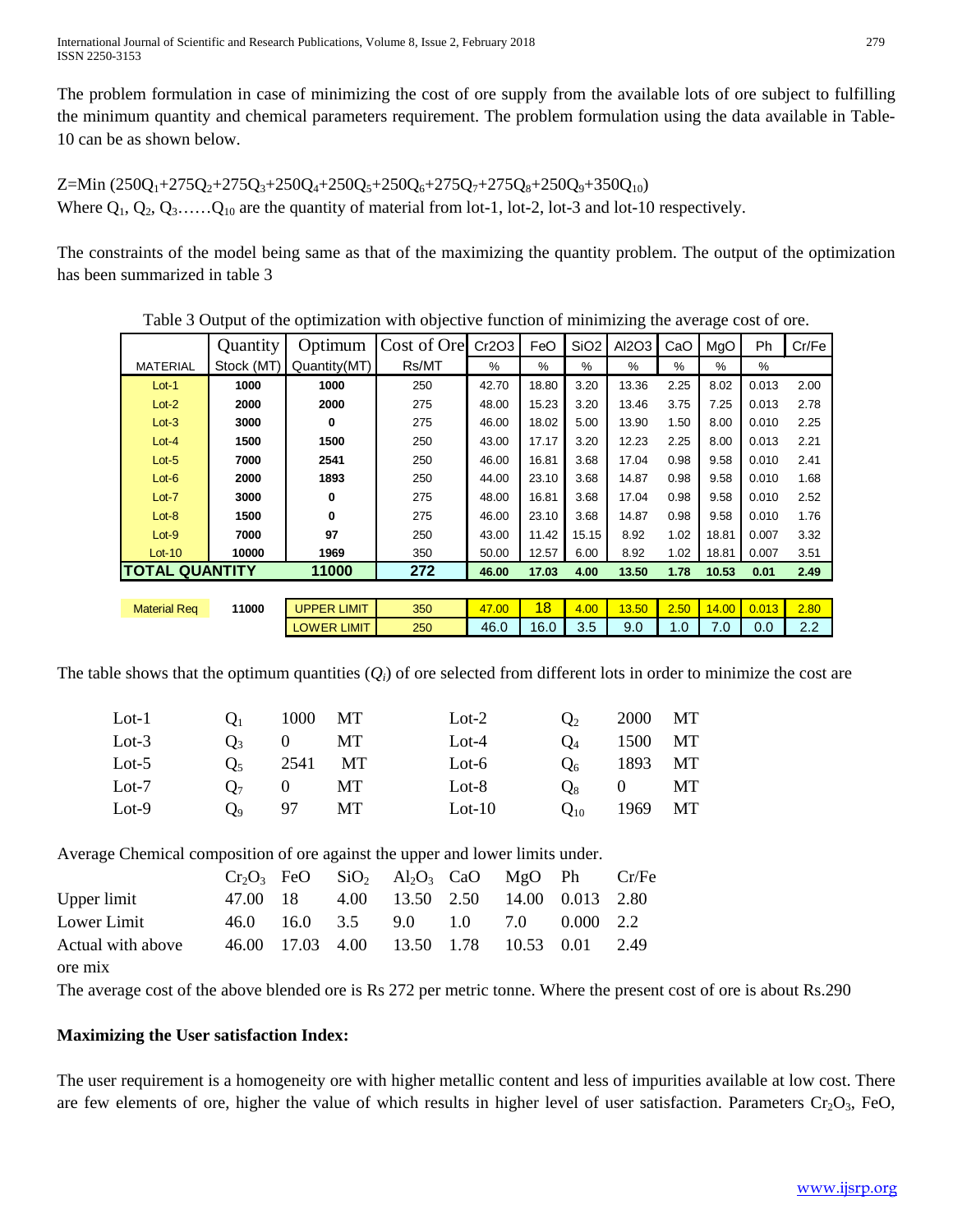The problem formulation in case of minimizing the cost of ore supply from the available lots of ore subject to fulfilling the minimum quantity and chemical parameters requirement. The problem formulation using the data available in Table-10 can be as shown below.

 $Z=Min (250Q_1+275Q_2+275Q_3+250Q_4+250Q_5+250Q_6+275Q_7+275Q_8+250Q_9+350Q_{10})$ Where  $Q_1, Q_2, Q_3, \ldots, Q_{10}$  are the quantity of material from lot-1, lot-2, lot-3 and lot-10 respectively.

The constraints of the model being same as that of the maximizing the quantity problem. The output of the optimization has been summarized in table 3

|                       | Quantity   | Optimum            | Cost of Ore | Cr2O3 | FeO   | SiO <sub>2</sub> | AI2O3 | CaO  | MgO   | <b>Ph</b> | Cr/Fe |
|-----------------------|------------|--------------------|-------------|-------|-------|------------------|-------|------|-------|-----------|-------|
| <b>MATERIAL</b>       | Stock (MT) | Quantity(MT)       | Rs/MT       | $\%$  | %     | $\%$             | $\%$  | %    | $\%$  | $\%$      |       |
| $Lot-1$               | 1000       | 1000               | 250         | 42.70 | 18.80 | 3.20             | 13.36 | 2.25 | 8.02  | 0.013     | 2.00  |
| $Lot-2$               | 2000       | 2000               | 275         | 48.00 | 15.23 | 3.20             | 13.46 | 3.75 | 7.25  | 0.013     | 2.78  |
| $Lot-3$               | 3000       | 0                  | 275         | 46.00 | 18.02 | 5.00             | 13.90 | 1.50 | 8.00  | 0.010     | 2.25  |
| $Lot-4$               | 1500       | 1500               | 250         | 43.00 | 17.17 | 3.20             | 12.23 | 2.25 | 8.00  | 0.013     | 2.21  |
| $Lot-5$               | 7000       | 2541               | 250         | 46.00 | 16.81 | 3.68             | 17.04 | 0.98 | 9.58  | 0.010     | 2.41  |
| $Lot-6$               | 2000       | 1893               | 250         | 44.00 | 23.10 | 3.68             | 14.87 | 0.98 | 9.58  | 0.010     | 1.68  |
| $Lot-7$               | 3000       | 0                  | 275         | 48.00 | 16.81 | 3.68             | 17.04 | 0.98 | 9.58  | 0.010     | 2.52  |
| $Lot-8$               | 1500       | 0                  | 275         | 46.00 | 23.10 | 3.68             | 14.87 | 0.98 | 9.58  | 0.010     | 1.76  |
| $Lot-9$               | 7000       | 97                 | 250         | 43.00 | 11.42 | 15.15            | 8.92  | 1.02 | 18.81 | 0.007     | 3.32  |
| $Lot-10$              | 10000      | 1969               | 350         | 50.00 | 12.57 | 6.00             | 8.92  | 1.02 | 18.81 | 0.007     | 3.51  |
| <b>TOTAL QUANTITY</b> |            | 11000              | 272         | 46.00 | 17.03 | 4.00             | 13.50 | 1.78 | 10.53 | 0.01      | 2.49  |
|                       |            |                    |             |       |       |                  |       |      |       |           |       |
| <b>Material Req</b>   | 11000      | <b>UPPER LIMIT</b> | 350         | 47.00 | 18    | 4.00             | 13.50 | 2.50 | 14.00 | 0.013     | 2.80  |
|                       |            | <b>LOWER LIMIT</b> | 250         | 46.0  | 16.0  | 3.5              | 9.0   | 1.0  | 7.0   | 0.0       | 2.2   |

Table 3 Output of the optimization with objective function of minimizing the average cost of ore.

The table shows that the optimum quantities  $(Q_i)$  of ore selected from different lots in order to minimize the cost are

| $Lot-1$<br>$Q_1$ |                | 1000 MT     | $_{\text{Lot-2}}$      | $Q_2$    | 2000 MT       |  |
|------------------|----------------|-------------|------------------------|----------|---------------|--|
| $Lot-3$          |                | $Q_3$ 0 MT  | $Lot-4$                | $O_4$    | 1500 MT       |  |
| Lot- $5$         | O <sub>5</sub> | 2541 MT     | $Lot-6$                |          | $Q_6$ 1893 MT |  |
| $Lot-7$          |                | $Q_7$ 0 MT  | $_{\rm Lot-8}$         |          | $Q_8$ 0 MT    |  |
| $Lot-9$          |                | $Q_9$ 97 MT | $_{\rm Lot\text{-}10}$ | $Q_{10}$ | 1969 MT       |  |

Average Chemical composition of ore against the upper and lower limits under.

|                   |  | $Cr_2O_3$ FeO SiO <sub>2</sub> Al <sub>2</sub> O <sub>3</sub> CaO MgO Ph Cr/Fe |  |  |  |
|-------------------|--|--------------------------------------------------------------------------------|--|--|--|
| Upper limit       |  | 47.00 18 4.00 13.50 2.50 14.00 0.013 2.80                                      |  |  |  |
| Lower Limit       |  | 46.0 16.0 3.5 9.0 1.0 7.0 0.000 2.2                                            |  |  |  |
| Actual with above |  | 46.00 17.03 4.00 13.50 1.78 10.53 0.01 2.49                                    |  |  |  |
| ore mix           |  |                                                                                |  |  |  |

The average cost of the above blended ore is Rs 272 per metric tonne. Where the present cost of ore is about Rs.290

## **Maximizing the User satisfaction Index:**

The user requirement is a homogeneity ore with higher metallic content and less of impurities available at low cost. There are few elements of ore, higher the value of which results in higher level of user satisfaction. Parameters  $Cr_2O_3$ , FeO,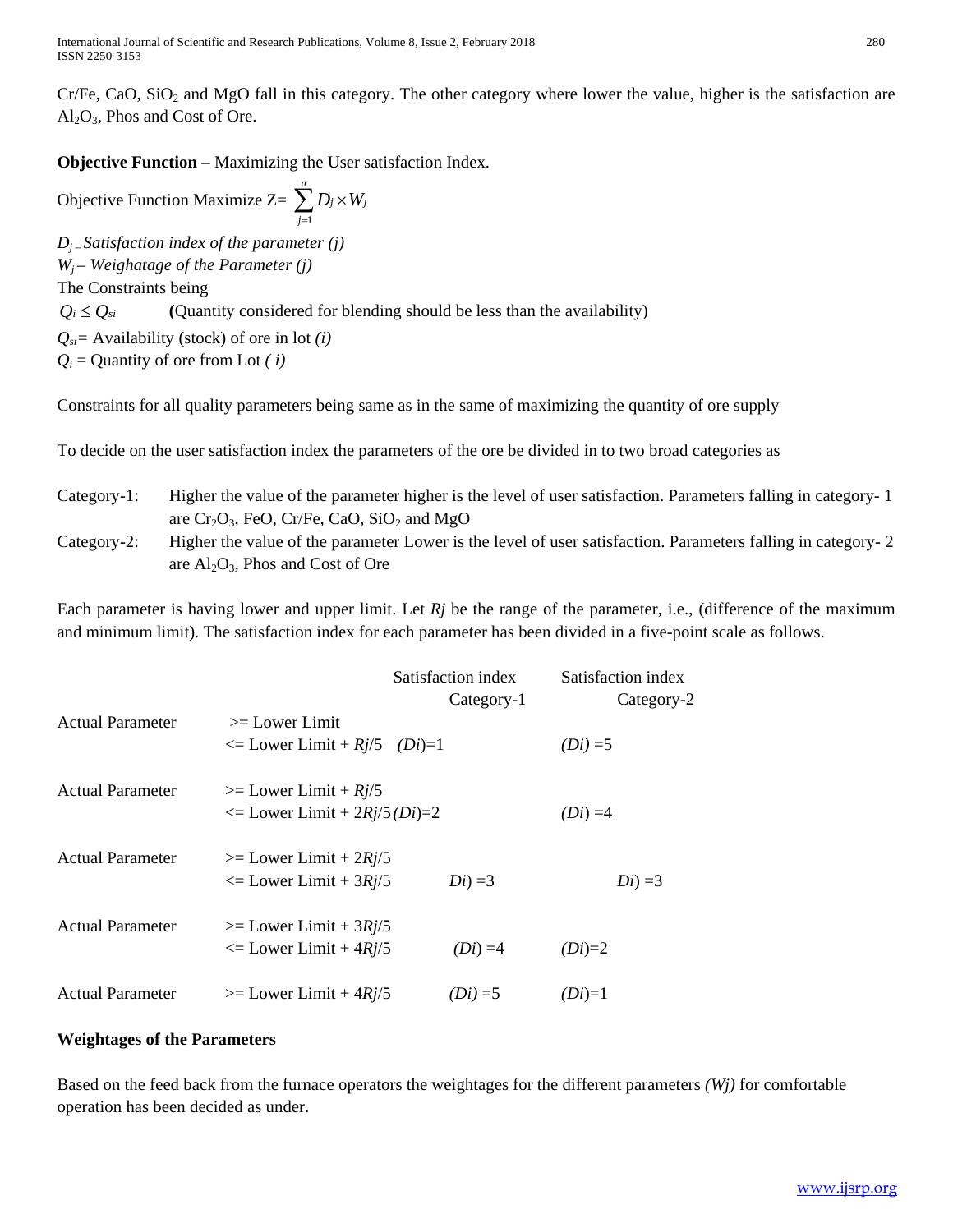International Journal of Scientific and Research Publications, Volume 8, Issue 2, February 2018 280 ISSN 2250-3153

 $Cr/Fe$ , CaO, SiO<sub>2</sub> and MgO fall in this category. The other category where lower the value, higher is the satisfaction are  $Al_2O_3$ , Phos and Cost of Ore.

**Objective Function** – Maximizing the User satisfaction Index.

Objective Function Maximize  $Z = \sum_{j=1}^{n} D_j \times$ *j*  $D_j \times W_j$ 1 *Dj – Satisfaction index of the parameter (j) Wj* – *Weighatage of the Parameter (j)* The Constraints being  $Q_i \leq Q_{si}$  (Quantity considered for blending should be less than the availability) *Qsi=* Availability (stock) of ore in lot *(i)*  $Q_i$  = Quantity of ore from Lot *(i)* 

Constraints for all quality parameters being same as in the same of maximizing the quantity of ore supply

To decide on the user satisfaction index the parameters of the ore be divided in to two broad categories as

- Category-1: Higher the value of the parameter higher is the level of user satisfaction. Parameters falling in category- 1 are  $Cr_2O_3$ , FeO, Cr/Fe, CaO, SiO<sub>2</sub> and MgO
- Category-2: Higher the value of the parameter Lower is the level of user satisfaction. Parameters falling in category- 2 are  $Al_2O_3$ , Phos and Cost of Ore

Each parameter is having lower and upper limit. Let  $Rj$  be the range of the parameter, i.e., (difference of the maximum and minimum limit). The satisfaction index for each parameter has been divided in a five-point scale as follows.

|                         |                                                                  | Satisfaction index<br>Category-1 | Satisfaction index<br>Category-2 |
|-------------------------|------------------------------------------------------------------|----------------------------------|----------------------------------|
| <b>Actual Parameter</b> | $>=$ Lower Limit<br>$\leq$ Lower Limit + Rj/5 (Di)=1             |                                  | $(Di) = 5$                       |
| <b>Actual Parameter</b> | $\geq$ Lower Limit + $Rj/5$<br>$\leq$ Lower Limit + 2Rj/5 (Di)=2 |                                  | $(Di) = 4$                       |
| <b>Actual Parameter</b> | $\geq$ Lower Limit + 2Rj/5<br>$\leq$ Lower Limit + 3Rj/5         | $Di) = 3$                        | $Di) = 3$                        |
| <b>Actual Parameter</b> | $\geq$ Lower Limit + 3Rj/5<br>$\leq$ Lower Limit + 4Rj/5         | $(Di) = 4$                       | $(Di)=2$                         |
| <b>Actual Parameter</b> | $\geq$ Lower Limit + 4Rj/5                                       | $(Di) = 5$                       | $(Di)=1$                         |

#### **Weightages of the Parameters**

Based on the feed back from the furnace operators the weightages for the different parameters *(Wj)* for comfortable operation has been decided as under.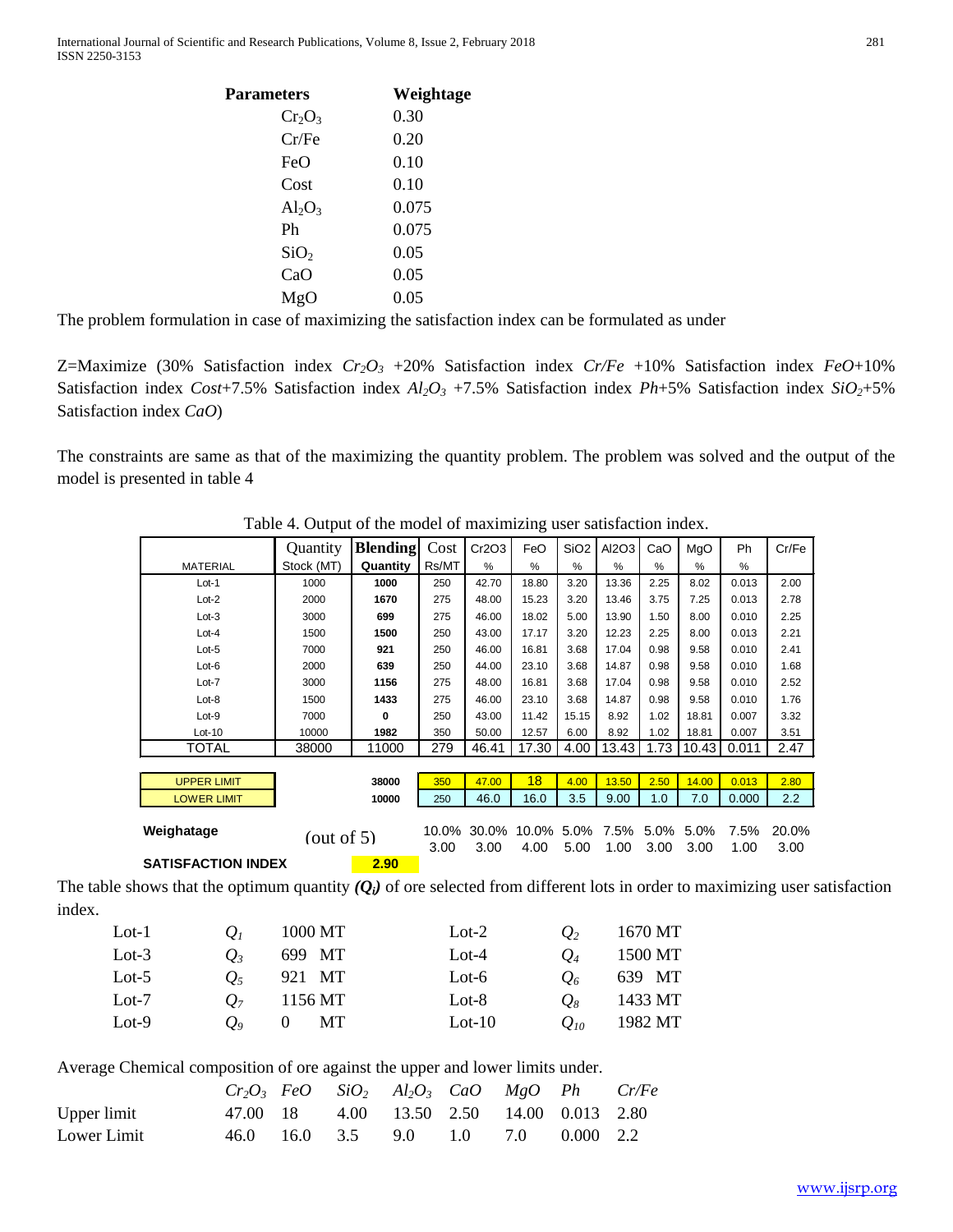| Parameters       | Weightage |
|------------------|-----------|
| $Cr_2O_3$        | 0.30      |
| Cr/Fe            | 0.20      |
| FeO              | 0.10      |
| Cost             | 0.10      |
| $Al_2O_3$        | 0.075     |
| Ph               | 0.075     |
| SiO <sub>2</sub> | 0.05      |
| CaO              | 0.05      |
| MgO              | 0.05      |
|                  |           |

The problem formulation in case of maximizing the satisfaction index can be formulated as under

Z=Maximize (30% Satisfaction index *Cr2O3* +20% Satisfaction index *Cr/Fe* +10% Satisfaction index *FeO*+10% Satisfaction index *Cost*+7.5% Satisfaction index  $Al_2O_3$  +7.5% Satisfaction index *Ph*+5% Satisfaction index  $SiO_2$ +5% Satisfaction index *CaO*)

The constraints are same as that of the maximizing the quantity problem. The problem was solved and the output of the model is presented in table 4

|                           | Ouantity      | <b>Blending</b> | Cost  | Cr2O3         | FeO           | SiO <sub>2</sub> | Al2O3         | CaO           | MgO   | <b>Ph</b>     | Cr/Fe |
|---------------------------|---------------|-----------------|-------|---------------|---------------|------------------|---------------|---------------|-------|---------------|-------|
| <b>MATERIAL</b>           | Stock (MT)    | Quantity        | Rs/MT | $\frac{9}{6}$ | $\frac{0}{2}$ | $\frac{9}{6}$    | $\frac{9}{6}$ | $\frac{9}{6}$ | $\%$  | $\frac{9}{6}$ |       |
| $Lot-1$                   | 1000          | 1000            | 250   | 42.70         | 18.80         | 3.20             | 13.36         | 2.25          | 8.02  | 0.013         | 2.00  |
| $Lot-2$                   | 2000          | 1670            | 275   | 48.00         | 15.23         | 3.20             | 13.46         | 3.75          | 7.25  | 0.013         | 2.78  |
| $Lot-3$                   | 3000          | 699             | 275   | 46.00         | 18.02         | 5.00             | 13.90         | 1.50          | 8.00  | 0.010         | 2.25  |
| $Lot-4$                   | 1500          | 1500            | 250   | 43.00         | 17.17         | 3.20             | 12.23         | 2.25          | 8.00  | 0.013         | 2.21  |
| $Lot-5$                   | 7000          | 921             | 250   | 46.00         | 16.81         | 3.68             | 17.04         | 0.98          | 9.58  | 0.010         | 2.41  |
| $Lot-6$                   | 2000          | 639             | 250   | 44.00         | 23.10         | 3.68             | 14.87         | 0.98          | 9.58  | 0.010         | 1.68  |
| $Lot-7$                   | 3000          | 1156            | 275   | 48.00         | 16.81         | 3.68             | 17.04         | 0.98          | 9.58  | 0.010         | 2.52  |
| $Lot-8$                   | 1500          | 1433            | 275   | 46.00         | 23.10         | 3.68             | 14.87         | 0.98          | 9.58  | 0.010         | 1.76  |
| $Lot-9$                   | 7000          | 0               | 250   | 43.00         | 11.42         | 15.15            | 8.92          | 1.02          | 18.81 | 0.007         | 3.32  |
| $Lot-10$                  | 10000         | 1982            | 350   | 50.00         | 12.57         | 6.00             | 8.92          | 1.02          | 18.81 | 0.007         | 3.51  |
| TOTAL                     | 38000         | 11000           | 279   | 46.41         | 17.30         | 4.00             | 13.43         | 1.73          | 10.43 | 0.011         | 2.47  |
|                           |               |                 |       |               |               |                  |               |               |       |               |       |
| <b>UPPER LIMIT</b>        |               | 38000           | 350   | 47.00         | 18            | 4.00             | 13.50         | 2.50          | 14.00 | 0.013         | 2.80  |
| <b>LOWER LIMIT</b>        |               | 10000           | 250   | 46.0          | 16.0          | 3.5              | 9.00          | 1.0           | 7.0   | 0.000         | 2.2   |
|                           |               |                 |       |               |               |                  |               |               |       |               |       |
| Weighatage                | (out of $5$ ) |                 | 10.0% | 30.0%         | 10.0%         | $5.0\%$          | 7.5%          | $5.0\%$       | 5.0%  | 7.5%          | 20.0% |
|                           |               |                 | 3.00  | 3.00          | 4.00          | 5.00             | 1.00          | 3.00          | 3.00  | 1.00          | 3.00  |
| <b>SATISFACTION INDEX</b> |               | 2.90            |       |               |               |                  |               |               |       |               |       |

Table 4. Output of the model of maximizing user satisfaction index.

The table shows that the optimum quantity  $(Q_i)$  of ore selected from different lots in order to maximizing user satisfaction index.

| $Lot-1$  | $\bm{U}_I$          | 1000 MT | $Lot-2$  | $\mathcal{O}_2$ | 1670 MT |
|----------|---------------------|---------|----------|-----------------|---------|
| Lot- $3$ | O 3                 | 699 MT  | $Lot-4$  | O <sub>4</sub>  | 1500 MT |
| Lot-5    | Οş                  | 921 MT  | $Lot-6$  | $O_{\delta}$    | 639 MT  |
| $Lot-7$  | ()7                 | 1156 MT | Lot-8    | $O_8$           | 1433 MT |
| $Lot-9$  | $\bm{O}_{\text{o}}$ | MT.     | $Lot-10$ | $Q_{10}$        | 1982 MT |

Average Chemical composition of ore against the upper and lower limits under.

|             |  | $Cr_2O_3$ FeO SiO <sub>2</sub> Al <sub>2</sub> O <sub>3</sub> CaO MgO Ph Cr/Fe |  |  |
|-------------|--|--------------------------------------------------------------------------------|--|--|
| Upper limit |  | 47.00 18 4.00 13.50 2.50 14.00 0.013 2.80                                      |  |  |
| Lower Limit |  | 46.0 16.0 3.5 9.0 1.0 7.0 0.000 2.2                                            |  |  |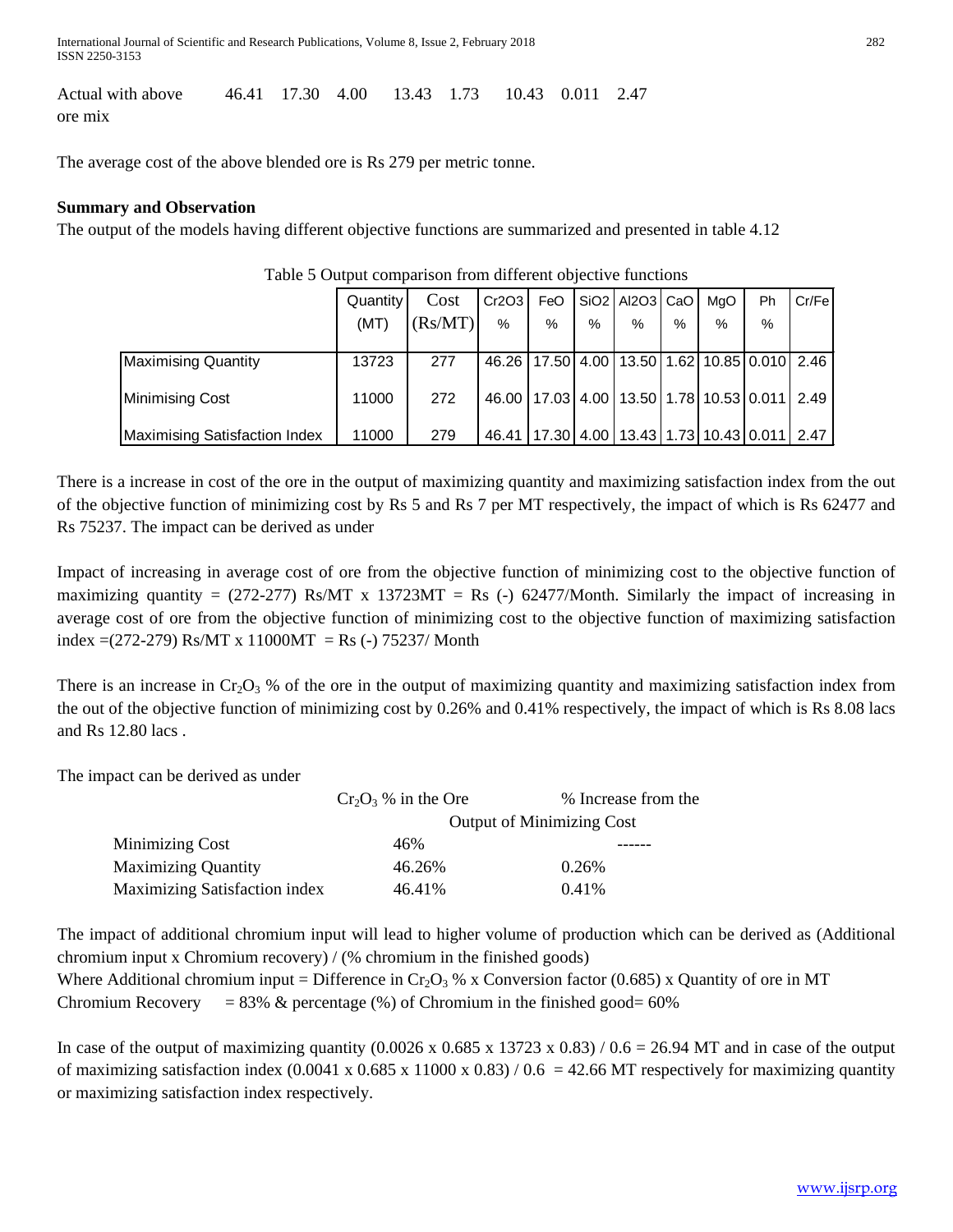International Journal of Scientific and Research Publications, Volume 8, Issue 2, February 2018 282 ISSN 2250-3153

Actual with above 46.41 17.30 4.00 13.43 1.73 10.43 0.011 2.47 ore mix

The average cost of the above blended ore is Rs 279 per metric tonne.

#### **Summary and Observation**

The output of the models having different objective functions are summarized and presented in table 4.12

|                                      | Quantity | Cost    | Cr2O3                                                      | FeO  |      | SiO2   Al2O3   CaO                                 |      | MaO  | <b>Ph</b> | Cr/Fe |
|--------------------------------------|----------|---------|------------------------------------------------------------|------|------|----------------------------------------------------|------|------|-----------|-------|
|                                      | (MT)     | (Rs/MT) | %                                                          | $\%$ | $\%$ | %                                                  | $\%$ | $\%$ | %         |       |
|                                      |          |         |                                                            |      |      |                                                    |      |      |           |       |
| <b>Maximising Quantity</b>           | 13723    | 277     | 46.26                                                      |      |      | 17.50   4.00   13.50   1.62   10.85   0.010   2.46 |      |      |           |       |
| <b>Minimising Cost</b>               | 11000    | 272     | 46.00   17.03   4.00   13.50   1.78   10.53   0.011   2.49 |      |      |                                                    |      |      |           |       |
| <b>Maximising Satisfaction Index</b> | 11000    | 279     | 46.41                                                      |      |      | 17.30   4.00   13.43   1.73   10.43   0.011   2.47 |      |      |           |       |

#### Table 5 Output comparison from different objective functions

There is a increase in cost of the ore in the output of maximizing quantity and maximizing satisfaction index from the out of the objective function of minimizing cost by Rs 5 and Rs 7 per MT respectively, the impact of which is Rs 62477 and Rs 75237. The impact can be derived as under

Impact of increasing in average cost of ore from the objective function of minimizing cost to the objective function of maximizing quantity =  $(272-277)$  Rs/MT x 13723MT = Rs (-) 62477/Month. Similarly the impact of increasing in average cost of ore from the objective function of minimizing cost to the objective function of maximizing satisfaction index =(272-279) Rs/MT x 11000MT = Rs (-) 75237/ Month

There is an increase in  $Cr_2O_3$  % of the ore in the output of maximizing quantity and maximizing satisfaction index from the out of the objective function of minimizing cost by 0.26% and 0.41% respectively, the impact of which is Rs 8.08 lacs and Rs 12.80 lacs .

The impact can be derived as under

|                                      | $Cr_2O_3$ % in the Ore           | % Increase from the |  |  |  |  |
|--------------------------------------|----------------------------------|---------------------|--|--|--|--|
|                                      | <b>Output of Minimizing Cost</b> |                     |  |  |  |  |
| <b>Minimizing Cost</b>               | 46%                              |                     |  |  |  |  |
| <b>Maximizing Quantity</b>           | 46.26%                           | 0.26%               |  |  |  |  |
| <b>Maximizing Satisfaction index</b> | 46.41%                           | 0.41%               |  |  |  |  |

The impact of additional chromium input will lead to higher volume of production which can be derived as (Additional chromium input x Chromium recovery) / (% chromium in the finished goods)

Where Additional chromium input = Difference in  $Cr_2O_3$  % x Conversion factor (0.685) x Quantity of ore in MT Chromium Recovery =  $83\%$  & percentage (%) of Chromium in the finished good=  $60\%$ 

In case of the output of maximizing quantity  $(0.0026 \times 0.685 \times 13723 \times 0.83) / 0.6 = 26.94$  MT and in case of the output of maximizing satisfaction index  $(0.0041 \times 0.685 \times 11000 \times 0.83) / 0.6 = 42.66 \text{ MT}$  respectively for maximizing quantity or maximizing satisfaction index respectively.